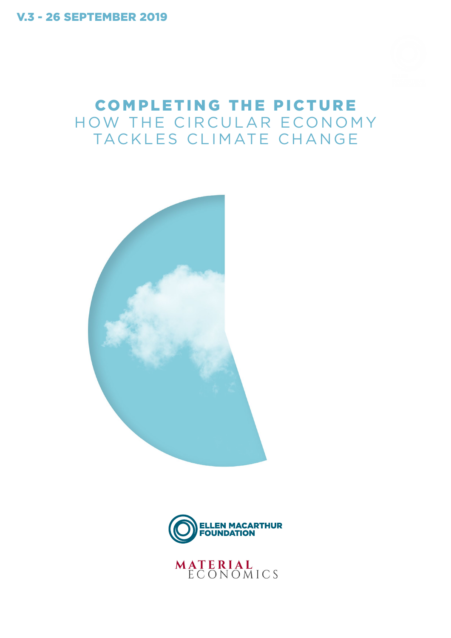V.3 - 26 SEPTEMBER 2019

## COMPLETING THE PICTURE HOW THE CIRCULAR ECONOMY TACKLES CLIMATE CHANGE





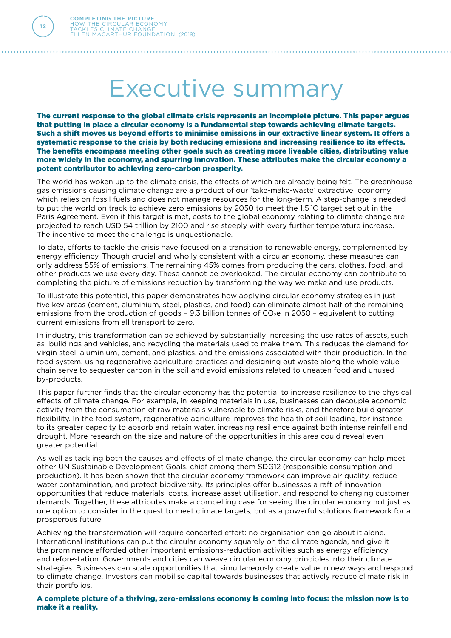**12**

## Executive summary

The current response to the global climate crisis represents an incomplete picture. This paper argues that putting in place a circular economy is a fundamental step towards achieving climate targets. Such a shift moves us beyond efforts to minimise emissions in our extractive linear system. It offers a systematic response to the crisis by both reducing emissions and increasing resilience to its effects. The benefits encompass meeting other goals such as creating more liveable cities, distributing value more widely in the economy, and spurring innovation. These attributes make the circular economy a potent contributor to achieving zero-carbon prosperity.

The world has woken up to the climate crisis, the effects of which are already being felt. The greenhouse gas emissions causing climate change are a product of our 'take-make-waste' extractive economy, which relies on fossil fuels and does not manage resources for the long-term. A step-change is needed to put the world on track to achieve zero emissions by 2050 to meet the 1.5˚C target set out in the Paris Agreement. Even if this target is met, costs to the global economy relating to climate change are projected to reach USD 54 trillion by 2100 and rise steeply with every further temperature increase. The incentive to meet the challenge is unquestionable.

To date, efforts to tackle the crisis have focused on a transition to renewable energy, complemented by energy efficiency. Though crucial and wholly consistent with a circular economy, these measures can only address 55% of emissions. The remaining 45% comes from producing the cars, clothes, food, and other products we use every day. These cannot be overlooked. The circular economy can contribute to completing the picture of emissions reduction by transforming the way we make and use products.

To illustrate this potential, this paper demonstrates how applying circular economy strategies in just five key areas (cement, aluminium, steel, plastics, and food) can eliminate almost half of the remaining emissions from the production of goods - 9.3 billion tonnes of  $CO<sub>2</sub>e$  in 2050 - equivalent to cutting current emissions from all transport to zero.

In industry, this transformation can be achieved by substantially increasing the use rates of assets, such as buildings and vehicles, and recycling the materials used to make them. This reduces the demand for virgin steel, aluminium, cement, and plastics, and the emissions associated with their production. In the food system, using regenerative agriculture practices and designing out waste along the whole value chain serve to sequester carbon in the soil and avoid emissions related to uneaten food and unused by-products.

This paper further finds that the circular economy has the potential to increase resilience to the physical effects of climate change. For example, in keeping materials in use, businesses can decouple economic activity from the consumption of raw materials vulnerable to climate risks, and therefore build greater flexibility. In the food system, regenerative agriculture improves the health of soil leading, for instance, to its greater capacity to absorb and retain water, increasing resilience against both intense rainfall and drought. More research on the size and nature of the opportunities in this area could reveal even greater potential.

As well as tackling both the causes and effects of climate change, the circular economy can help meet other UN Sustainable Development Goals, chief among them SDG12 (responsible consumption and production). It has been shown that the circular economy framework can improve air quality, reduce water contamination, and protect biodiversity. Its principles offer businesses a raft of innovation opportunities that reduce materials costs, increase asset utilisation, and respond to changing customer demands. Together, these attributes make a compelling case for seeing the circular economy not just as one option to consider in the quest to meet climate targets, but as a powerful solutions framework for a prosperous future.

Achieving the transformation will require concerted effort: no organisation can go about it alone. International institutions can put the circular economy squarely on the climate agenda, and give it the prominence afforded other important emissions-reduction activities such as energy efficiency and reforestation. Governments and cities can weave circular economy principles into their climate strategies. Businesses can scale opportunities that simultaneously create value in new ways and respond to climate change. Investors can mobilise capital towards businesses that actively reduce climate risk in their portfolios.

A complete picture of a thriving, zero-emissions economy is coming into focus: the mission now is to make it a reality.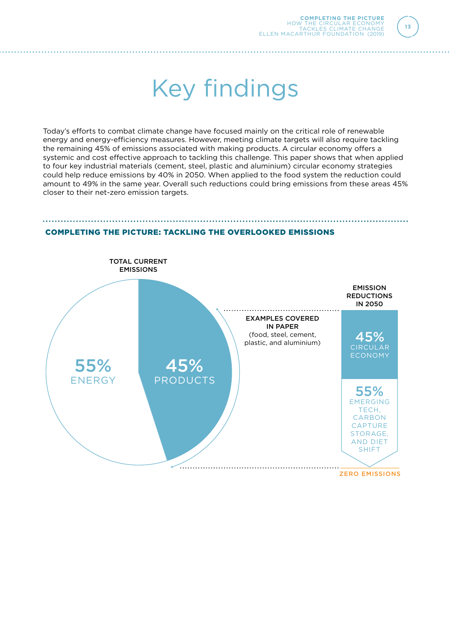**13**

## Key findings

Today's efforts to combat climate change have focused mainly on the critical role of renewable energy and energy-efficiency measures. However, meeting climate targets will also require tackling the remaining 45% of emissions associated with making products. A circular economy offers a systemic and cost effective approach to tackling this challenge. This paper shows that when applied to four key industrial materials (cement, steel, plastic and aluminium) circular economy strategies could help reduce emissions by 40% in 2050. When applied to the food system the reduction could amount to 49% in the same year. Overall such reductions could bring emissions from these areas 45% closer to their net-zero emission targets.



## COMPLETING THE PICTURE: TACKLING THE OVERLOOKED EMISSIONS